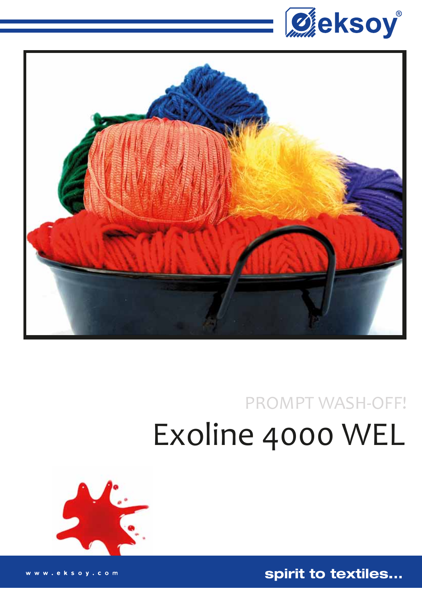



# **PROMPT WASH-OFF!** Exoline 4000 WEL



spirit to textiles...

eksoy.com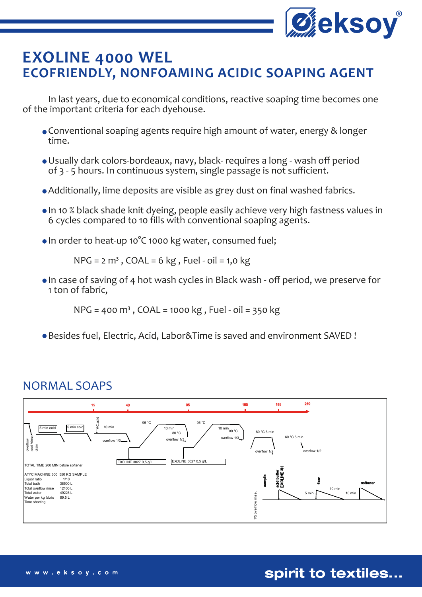

## **EXOLINE 4000 WEL ECOFRIENDLY, NONFOAMING ACIDIC SOAPING AGENT**

 In last years, due to economical conditions, reactive soaping time becomes one of the important criteria for each dyehouse.

- Conventional soaping agents require high amount of water, energy & longer time.
- Usually dark colors-bordeaux, navy, black- requires a long wash off period of 3 - 5 hours. In continuous system, single passage is not sufficient.
- Additionally, lime deposits are visible as grey dust on final washed fabrics.
- In 10 % black shade knit dyeing, people easily achieve very high fastness values in 6 cycles compared to 10 fills with conventional soaping agents.
- In order to heat-up 10°C 1000 kg water, consumed fuel;

 $NPG = 2 m<sup>3</sup>$ , COAL = 6 kg, Fuel - oil = 1,0 kg

 In case of saving of 4 hot wash cycles in Black wash - off period, we preserve for 1 ton of fabric,

 $NPG = 400 \text{ m}^3$ ,  $COAL = 1000 \text{ kg}$ , Fuel - oil = 350 kg

Besides fuel, Electric, Acid, Labor&Time is saved and environment SAVED !

#### NORMAL SOAPS



spirit to textiles...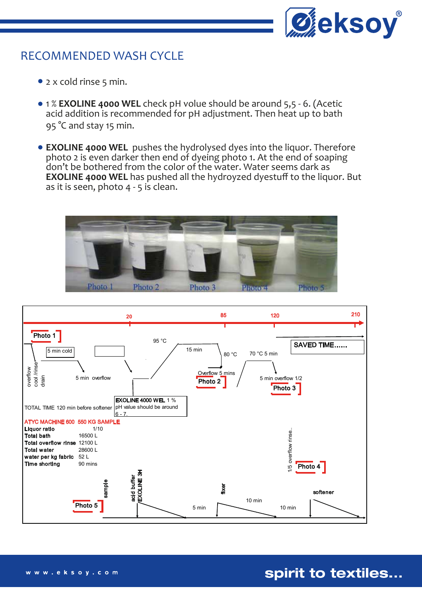

#### RECOMMENDED WASH CYCLE

- 2 x cold rinse 5 min.
- 1 % **EXOLINE 4000 WEL** check pH volue should be around 5,5 6. (Acetic acid addition is recommended for pH adjustment. Then heat up to bath 95 °C and stay 15 min.
- **EXOLINE 4000 WEL** pushes the hydrolysed dyes into the liquor. Therefore photo 2 is even darker then end of dyeing photo 1. At the end of soaping don't be bothered from the color of the water. Water seems dark as **EXOLINE 4000 WEL** has pushed all the hydroyzed dyestuff to the liquor. But as it is seen, photo 4 - 5 is clean.





#### spirit to textiles...